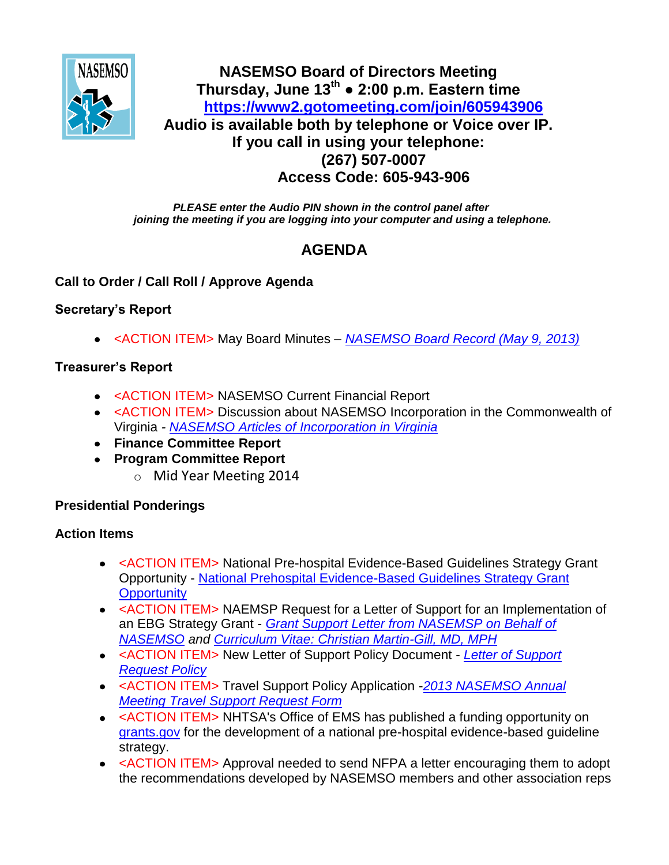

## **NASEMSO Board of Directors Meeting Thursday, June 13th ● 2:00 p.m. Eastern time <https://www2.gotomeeting.com/join/605943906> Audio is available both by telephone or Voice over IP. If you call in using your telephone: (267) 507-0007 Access Code: 605-943-906**

*PLEASE enter the Audio PIN shown in the control panel after joining the meeting if you are logging into your computer and using a telephone.*

# **AGENDA**

## **Call to Order / Call Roll / Approve Agenda**

## **Secretary's Report**

<ACTION ITEM> May Board Minutes *– [NASEMSO Board Record \(May 9, 2013\)](https://www.nasemso.org/Members/Board/documents/NASEMSO-Board-Record-09May2013.pdf)*

## **Treasurer's Report**

- <ACTION ITEM> NASEMSO Current Financial Report
- <ACTION ITEM> Discussion about NASEMSO Incorporation in the Commonwealth of Virginia *- [NASEMSO Articles of Incorporation in Virginia](https://www.nasemso.org/Members/Board/documents/NASEMSO-Articles-of-Incorporation-VA.pdf)*
- **Finance Committee Report**
- **Program Committee Report**
	- o Mid Year Meeting 2014

## **Presidential Ponderings**

## **Action Items**

- <ACTION ITEM> National Pre-hospital Evidence-Based Guidelines Strategy Grant Opportunity - [National Prehospital Evidence-Based Guidelines Strategy Grant](https://www.nasemso.org/Members/Board/documents/National-Prehospital-EBG-Strategy-Grant-Opportunity.pdf)  **[Opportunity](https://www.nasemso.org/Members/Board/documents/National-Prehospital-EBG-Strategy-Grant-Opportunity.pdf)**
- <ACTION ITEM> NAEMSP Request for a Letter of Support for an Implementation of an EBG Strategy Grant - *[Grant Support Letter from NASEMSP on Behalf of](https://www.nasemso.org/Members/Board/documents/Grant-Support-Letter-or-NASEMSO.pdf)  [NASEMSO](https://www.nasemso.org/Members/Board/documents/Grant-Support-Letter-or-NASEMSO.pdf) and [Curriculum Vitae: Christian Martin-Gill, MD, MPH](https://www.nasemso.org/Members/Board/documents/CMartin-Gill-Curriculum-Vitae.pdf)*
- <ACTION ITEM> New Letter of Support Policy Document *[Letter of Support](https://www.nasemso.org/Members/Board/documents/Letter-of-Support-Request-Policy.pdf)  [Request Policy](https://www.nasemso.org/Members/Board/documents/Letter-of-Support-Request-Policy.pdf)*
- <ACTION ITEM> Travel Support Policy Application -*[2013 NASEMSO Annual](https://www.nasemso.org/Members/Board/documents/NASEMSO-AM-Travel-Support-Application-Form-2013.doc)  [Meeting Travel Support Request Form](https://www.nasemso.org/Members/Board/documents/NASEMSO-AM-Travel-Support-Application-Form-2013.doc)*
- <ACTION ITEM> NHTSA's Office of EMS has published a funding opportunity on [grants.gov](http://grants.gov/) for the development of a national pre-hospital evidence-based guideline strategy.
- <ACTION ITEM> Approval needed to send NFPA a letter encouraging them to adopt the recommendations developed by NASEMSO members and other association reps